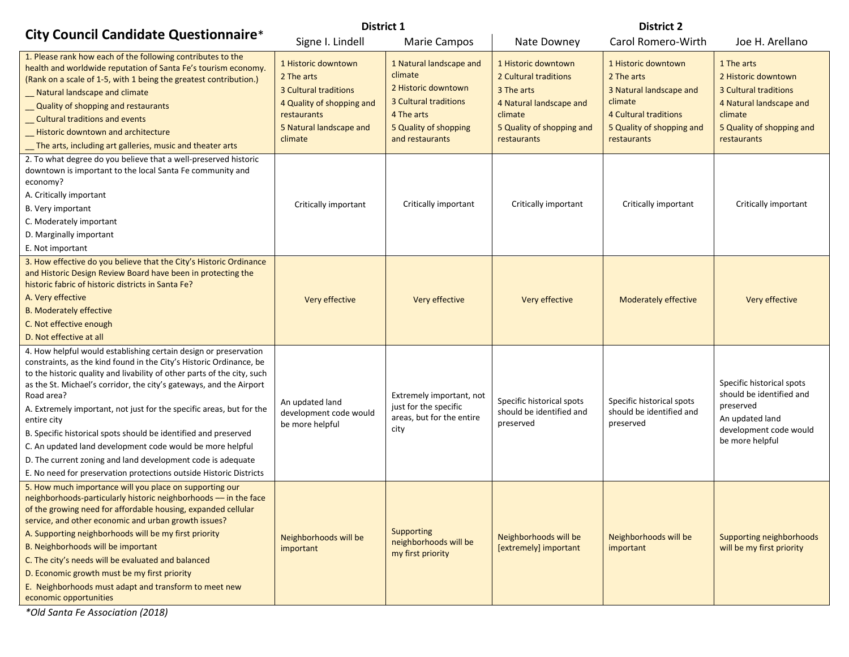|                                                                                                                                                                                                                                                                                                                                                                                                                                                                                                                                                                                                                                                                     | <b>District 1</b>                                                                                                                            |                                                                                                                                              | <b>District 2</b>                                                                                                                            |                                                                                                                                                     |                                                                                                                                              |  |
|---------------------------------------------------------------------------------------------------------------------------------------------------------------------------------------------------------------------------------------------------------------------------------------------------------------------------------------------------------------------------------------------------------------------------------------------------------------------------------------------------------------------------------------------------------------------------------------------------------------------------------------------------------------------|----------------------------------------------------------------------------------------------------------------------------------------------|----------------------------------------------------------------------------------------------------------------------------------------------|----------------------------------------------------------------------------------------------------------------------------------------------|-----------------------------------------------------------------------------------------------------------------------------------------------------|----------------------------------------------------------------------------------------------------------------------------------------------|--|
| <b>City Council Candidate Questionnaire*</b>                                                                                                                                                                                                                                                                                                                                                                                                                                                                                                                                                                                                                        | Signe I. Lindell                                                                                                                             | <b>Marie Campos</b>                                                                                                                          | Nate Downey                                                                                                                                  | Carol Romero-Wirth                                                                                                                                  | Joe H. Arellano                                                                                                                              |  |
| 1. Please rank how each of the following contributes to the<br>health and worldwide reputation of Santa Fe's tourism economy.<br>(Rank on a scale of 1-5, with 1 being the greatest contribution.)<br>_ Natural landscape and climate<br>_ Quality of shopping and restaurants<br>_ Cultural traditions and events<br>_ Historic downtown and architecture<br>The arts, including art galleries, music and theater arts                                                                                                                                                                                                                                             | 1 Historic downtown<br>2 The arts<br>3 Cultural traditions<br>4 Quality of shopping and<br>restaurants<br>5 Natural landscape and<br>climate | 1 Natural landscape and<br>climate<br>2 Historic downtown<br>3 Cultural traditions<br>4 The arts<br>5 Quality of shopping<br>and restaurants | 1 Historic downtown<br>2 Cultural traditions<br>3 The arts<br>4 Natural landscape and<br>climate<br>5 Quality of shopping and<br>restaurants | 1 Historic downtown<br>2 The arts<br>3 Natural landscape and<br>climate<br><b>4 Cultural traditions</b><br>5 Quality of shopping and<br>restaurants | 1 The arts<br>2 Historic downtown<br>3 Cultural traditions<br>4 Natural landscape and<br>climate<br>5 Quality of shopping and<br>restaurants |  |
| 2. To what degree do you believe that a well-preserved historic<br>downtown is important to the local Santa Fe community and<br>economy?<br>A. Critically important<br>B. Very important<br>C. Moderately important<br>D. Marginally important<br>E. Not important                                                                                                                                                                                                                                                                                                                                                                                                  | Critically important                                                                                                                         | Critically important                                                                                                                         | Critically important                                                                                                                         | Critically important                                                                                                                                | Critically important                                                                                                                         |  |
| 3. How effective do you believe that the City's Historic Ordinance<br>and Historic Design Review Board have been in protecting the<br>historic fabric of historic districts in Santa Fe?<br>A. Very effective<br><b>B. Moderately effective</b><br>C. Not effective enough<br>D. Not effective at all                                                                                                                                                                                                                                                                                                                                                               | Very effective                                                                                                                               | Very effective                                                                                                                               | Very effective                                                                                                                               | <b>Moderately effective</b>                                                                                                                         | Very effective                                                                                                                               |  |
| 4. How helpful would establishing certain design or preservation<br>constraints, as the kind found in the City's Historic Ordinance, be<br>to the historic quality and livability of other parts of the city, such<br>as the St. Michael's corridor, the city's gateways, and the Airport<br>Road area?<br>A. Extremely important, not just for the specific areas, but for the<br>entire city<br>B. Specific historical spots should be identified and preserved<br>C. An updated land development code would be more helpful<br>D. The current zoning and land development code is adequate<br>E. No need for preservation protections outside Historic Districts | An updated land<br>development code would<br>be more helpful                                                                                 | Extremely important, not<br>just for the specific<br>areas, but for the entire<br>city                                                       | Specific historical spots<br>should be identified and<br>preserved                                                                           | Specific historical spots<br>should be identified and<br>preserved                                                                                  | Specific historical spots<br>should be identified and<br>preserved<br>An updated land<br>development code would<br>be more helpful           |  |
| 5. How much importance will you place on supporting our<br>neighborhoods-particularly historic neighborhoods - in the face<br>of the growing need for affordable housing, expanded cellular<br>service, and other economic and urban growth issues?<br>A. Supporting neighborhoods will be my first priority<br>B. Neighborhoods will be important<br>C. The city's needs will be evaluated and balanced<br>D. Economic growth must be my first priority<br>E. Neighborhoods must adapt and transform to meet new<br>economic opportunities                                                                                                                         | Neighborhoods will be<br>important                                                                                                           | Supporting<br>neighborhoods will be<br>my first priority                                                                                     | Neighborhoods will be<br>[extremely] important                                                                                               | Neighborhoods will be<br>important                                                                                                                  | Supporting neighborhoods<br>will be my first priority                                                                                        |  |

*\*Old Santa Fe Association (2018)*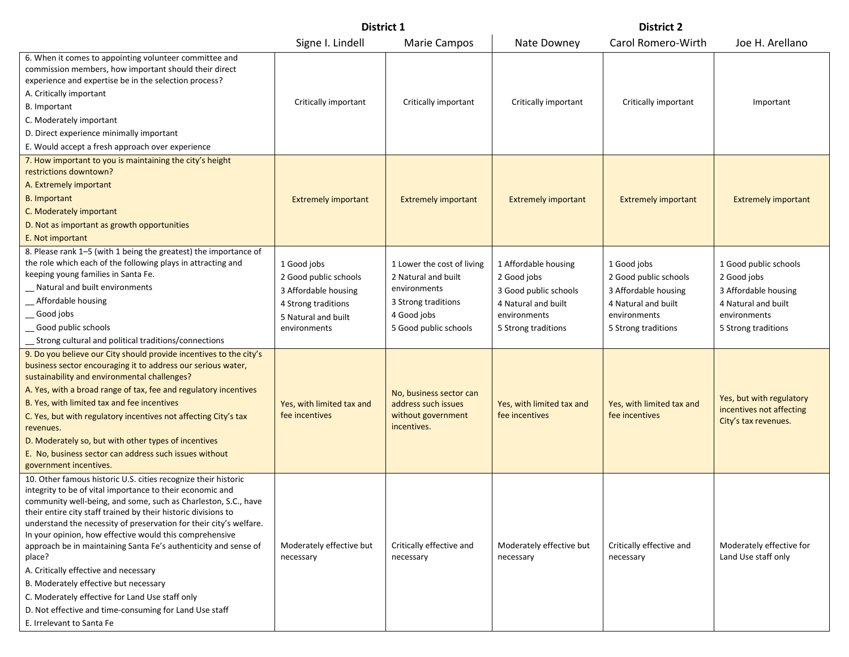|                                                                                                                                                                                                                                                                                                                                                                                                                                                                                                                                                                                                                                                                                                           | District 1                                                                                                                 |                                                                                                                                  |                                                                                                                            | <b>District 2</b>                                                                                                          |                                                                                                                            |  |
|-----------------------------------------------------------------------------------------------------------------------------------------------------------------------------------------------------------------------------------------------------------------------------------------------------------------------------------------------------------------------------------------------------------------------------------------------------------------------------------------------------------------------------------------------------------------------------------------------------------------------------------------------------------------------------------------------------------|----------------------------------------------------------------------------------------------------------------------------|----------------------------------------------------------------------------------------------------------------------------------|----------------------------------------------------------------------------------------------------------------------------|----------------------------------------------------------------------------------------------------------------------------|----------------------------------------------------------------------------------------------------------------------------|--|
|                                                                                                                                                                                                                                                                                                                                                                                                                                                                                                                                                                                                                                                                                                           | Signe I. Lindell                                                                                                           | <b>Marie Campos</b>                                                                                                              | Nate Downey                                                                                                                | Carol Romero-Wirth                                                                                                         | Joe H. Arellano                                                                                                            |  |
| 6. When it comes to appointing volunteer committee and<br>commission members, how important should their direct<br>experience and expertise be in the selection process?<br>A. Critically important<br><b>B.</b> Important<br>C. Moderately important<br>D. Direct experience minimally important<br>E. Would accept a fresh approach over experience                                                                                                                                                                                                                                                                                                                                                     | Critically important                                                                                                       | Critically important                                                                                                             | Critically important                                                                                                       | Critically important                                                                                                       | Important                                                                                                                  |  |
| 7. How important to you is maintaining the city's height<br>restrictions downtown?<br>A. Extremely important<br><b>B.</b> Important<br>C. Moderately important<br>D. Not as important as growth opportunities<br>E. Not important                                                                                                                                                                                                                                                                                                                                                                                                                                                                         | <b>Extremely important</b>                                                                                                 | <b>Extremely important</b>                                                                                                       | <b>Extremely important</b>                                                                                                 | <b>Extremely important</b>                                                                                                 | <b>Extremely important</b>                                                                                                 |  |
| 8. Please rank 1-5 (with 1 being the greatest) the importance of<br>the role which each of the following plays in attracting and<br>keeping young families in Santa Fe.<br>Natural and built environments<br>_Affordable housing<br>Good jobs<br>Good public schools<br>_ Strong cultural and political traditions/connections                                                                                                                                                                                                                                                                                                                                                                            | 1 Good jobs<br>2 Good public schools<br>3 Affordable housing<br>4 Strong traditions<br>5 Natural and built<br>environments | 1 Lower the cost of living<br>2 Natural and built<br>environments<br>3 Strong traditions<br>4 Good jobs<br>5 Good public schools | 1 Affordable housing<br>2 Good jobs<br>3 Good public schools<br>4 Natural and built<br>environments<br>5 Strong traditions | 1 Good jobs<br>2 Good public schools<br>3 Affordable housing<br>4 Natural and built<br>environments<br>5 Strong traditions | 1 Good public schools<br>2 Good jobs<br>3 Affordable housing<br>4 Natural and built<br>environments<br>5 Strong traditions |  |
| 9. Do you believe our City should provide incentives to the city's<br>business sector encouraging it to address our serious water,<br>sustainability and environmental challenges?<br>A. Yes, with a broad range of tax, fee and regulatory incentives<br>B. Yes, with limited tax and fee incentives<br>C. Yes, but with regulatory incentives not affecting City's tax<br>revenues.<br>D. Moderately so, but with other types of incentives<br>E. No, business sector can address such issues without<br>government incentives.                                                                                                                                                                         | Yes, with limited tax and<br>fee incentives                                                                                | No, business sector can<br>address such issues<br>without government<br>incentives.                                              | Yes, with limited tax and<br>fee incentives                                                                                | Yes, with limited tax and<br>fee incentives                                                                                | Yes, but with regulatory<br>incentives not affecting<br>City's tax revenues.                                               |  |
| 10. Other famous historic U.S. cities recognize their historic<br>integrity to be of vital importance to their economic and<br>community well-being, and some, such as Charleston, S.C., have<br>their entire city staff trained by their historic divisions to<br>understand the necessity of preservation for their city's welfare.<br>In your opinion, how effective would this comprehensive<br>approach be in maintaining Santa Fe's authenticity and sense of<br>place?<br>A. Critically effective and necessary<br>B. Moderately effective but necessary<br>C. Moderately effective for Land Use staff only<br>D. Not effective and time-consuming for Land Use staff<br>E. Irrelevant to Santa Fe | Moderately effective but<br>necessary                                                                                      | Critically effective and<br>necessary                                                                                            | Moderately effective but<br>necessary                                                                                      | Critically effective and<br>necessary                                                                                      | Moderately effective for<br>Land Use staff only                                                                            |  |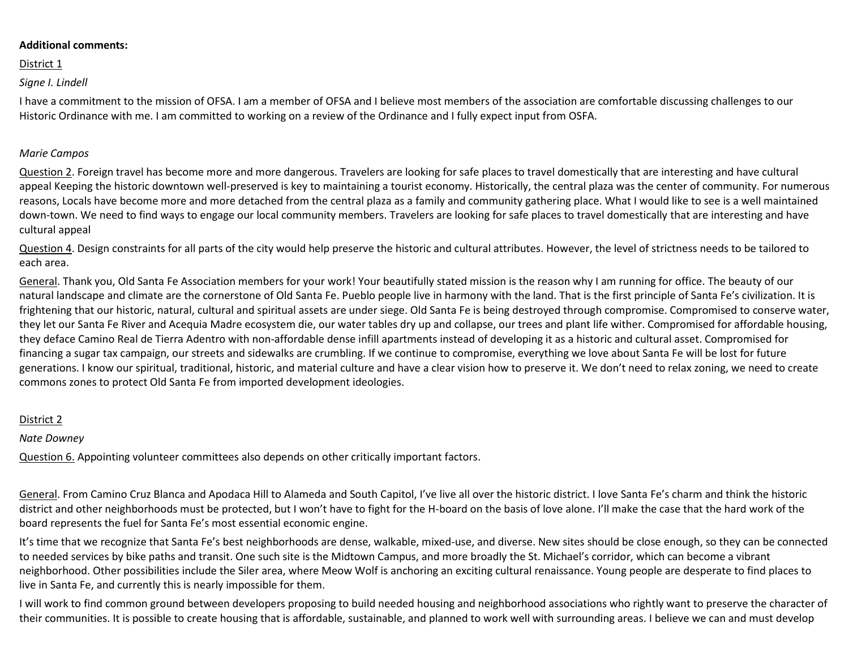#### **Additional comments:**

### District 1

# *Signe I. Lindell*

I have a commitment to the mission of OFSA. I am a member of OFSA and I believe most members of the association are comfortable discussing challenges to our Historic Ordinance with me. I am committed to working on a review of the Ordinance and I fully expect input from OSFA.

#### *Marie Campos*

Question 2. Foreign travel has become more and more dangerous. Travelers are looking for safe places to travel domestically that are interesting and have cultural appeal Keeping the historic downtown well-preserved is key to maintaining a tourist economy. Historically, the central plaza was the center of community. For numerous reasons, Locals have become more and more detached from the central plaza as a family and community gathering place. What I would like to see is a well maintained down-town. We need to find ways to engage our local community members. Travelers are looking for safe places to travel domestically that are interesting and have cultural appeal

Question 4. Design constraints for all parts of the city would help preserve the historic and cultural attributes. However, the level of strictness needs to be tailored to each area.

General. Thank you, Old Santa Fe Association members for your work! Your beautifully stated mission is the reason why I am running for office. The beauty of our natural landscape and climate are the cornerstone of Old Santa Fe. Pueblo people live in harmony with the land. That is the first principle of Santa Fe's civilization. It is frightening that our historic, natural, cultural and spiritual assets are under siege. Old Santa Fe is being destroyed through compromise. Compromised to conserve water, they let our Santa Fe River and Acequia Madre ecosystem die, our water tables dry up and collapse, our trees and plant life wither. Compromised for affordable housing, they deface Camino Real de Tierra Adentro with non-affordable dense infill apartments instead of developing it as a historic and cultural asset. Compromised for financing a sugar tax campaign, our streets and sidewalks are crumbling. If we continue to compromise, everything we love about Santa Fe will be lost for future generations. I know our spiritual, traditional, historic, and material culture and have a clear vision how to preserve it. We don't need to relax zoning, we need to create commons zones to protect Old Santa Fe from imported development ideologies.

# District 2

# *Nate Downey*

Question 6. Appointing volunteer committees also depends on other critically important factors.

General. From Camino Cruz Blanca and Apodaca Hill to Alameda and South Capitol, I've live all over the historic district. I love Santa Fe's charm and think the historic district and other neighborhoods must be protected, but I won't have to fight for the H-board on the basis of love alone. I'll make the case that the hard work of the board represents the fuel for Santa Fe's most essential economic engine.

It's time that we recognize that Santa Fe's best neighborhoods are dense, walkable, mixed-use, and diverse. New sites should be close enough, so they can be connected to needed services by bike paths and transit. One such site is the Midtown Campus, and more broadly the St. Michael's corridor, which can become a vibrant neighborhood. Other possibilities include the Siler area, where Meow Wolf is anchoring an exciting cultural renaissance. Young people are desperate to find places to live in Santa Fe, and currently this is nearly impossible for them.

I will work to find common ground between developers proposing to build needed housing and neighborhood associations who rightly want to preserve the character of their communities. It is possible to create housing that is affordable, sustainable, and planned to work well with surrounding areas. I believe we can and must develop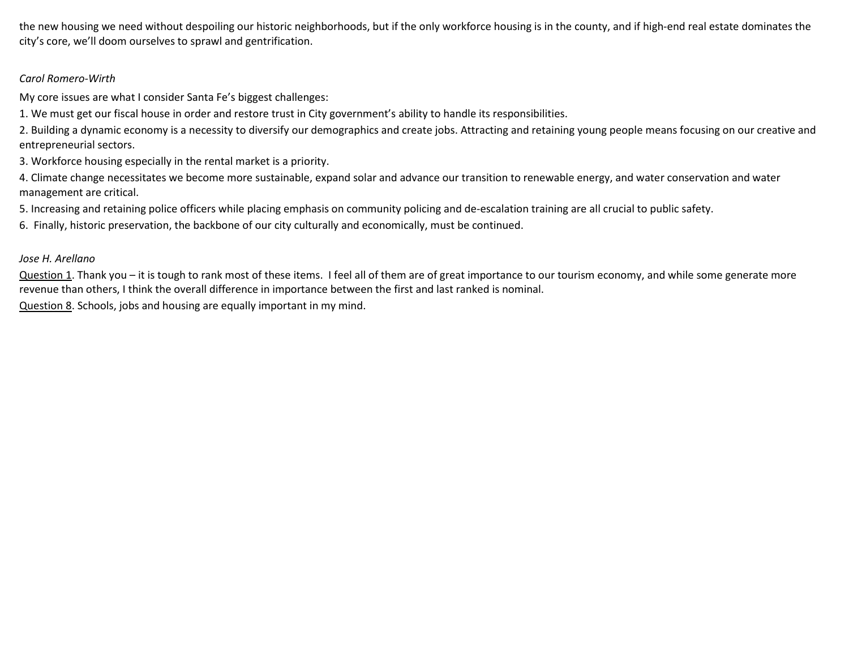the new housing we need without despoiling our historic neighborhoods, but if the only workforce housing is in the county, and if high-end real estate dominates the city's core, we'll doom ourselves to sprawl and gentrification.

# *Carol Romero-Wirth*

My core issues are what I consider Santa Fe's biggest challenges:

1. We must get our fiscal house in order and restore trust in City government's ability to handle its responsibilities.

2. Building a dynamic economy is a necessity to diversify our demographics and create jobs. Attracting and retaining young people means focusing on our creative and entrepreneurial sectors.

3. Workforce housing especially in the rental market is a priority.

4. Climate change necessitates we become more sustainable, expand solar and advance our transition to renewable energy, and water conservation and water management are critical.

5. Increasing and retaining police officers while placing emphasis on community policing and de-escalation training are all crucial to public safety.

6. Finally, historic preservation, the backbone of our city culturally and economically, must be continued.

# *Jose H. Arellano*

Question 1. Thank you – it is tough to rank most of these items. I feel all of them are of great importance to our tourism economy, and while some generate more revenue than others, I think the overall difference in importance between the first and last ranked is nominal.

Question 8. Schools, jobs and housing are equally important in my mind.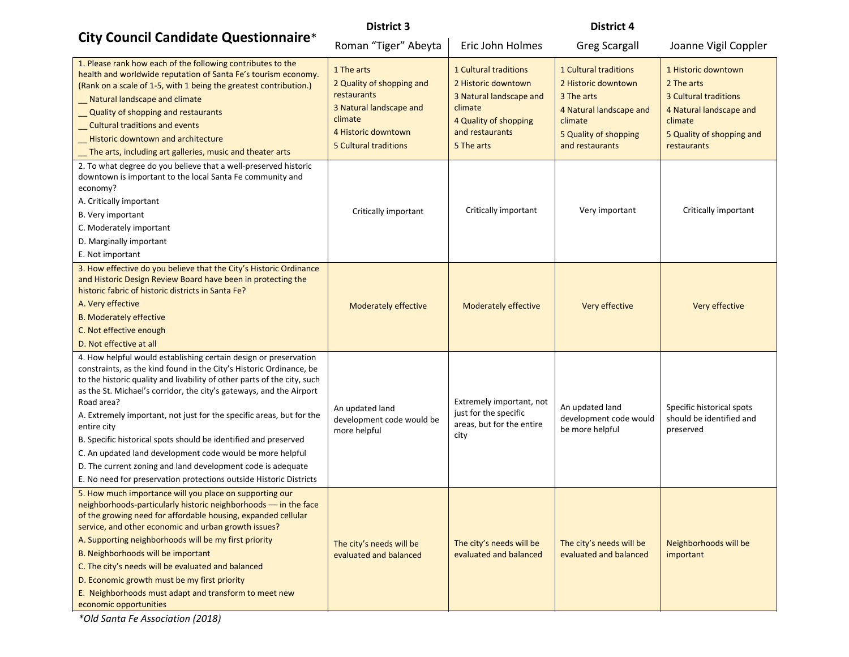# **City Council Candidate Questionnaire**\*

### **District 3 District 4**

| City Council Candidate Questionnaire*                                                                                                                                                                                                                                                                                                                                                                                                                                                                                                                                                                                                                               | Roman "Tiger" Abeyta                                                                                                                         | Eric John Holmes                                                                                                                                    | <b>Greg Scargall</b>                                                                                                                         | Joanne Vigil Coppler                                                                                                                                |
|---------------------------------------------------------------------------------------------------------------------------------------------------------------------------------------------------------------------------------------------------------------------------------------------------------------------------------------------------------------------------------------------------------------------------------------------------------------------------------------------------------------------------------------------------------------------------------------------------------------------------------------------------------------------|----------------------------------------------------------------------------------------------------------------------------------------------|-----------------------------------------------------------------------------------------------------------------------------------------------------|----------------------------------------------------------------------------------------------------------------------------------------------|-----------------------------------------------------------------------------------------------------------------------------------------------------|
| 1. Please rank how each of the following contributes to the<br>health and worldwide reputation of Santa Fe's tourism economy.<br>(Rank on a scale of 1-5, with 1 being the greatest contribution.)<br>Natural landscape and climate<br>Quality of shopping and restaurants<br>_ Cultural traditions and events<br>Historic downtown and architecture<br>The arts, including art galleries, music and theater arts                                                                                                                                                                                                                                                   | 1 The arts<br>2 Quality of shopping and<br>restaurants<br>3 Natural landscape and<br>climate<br>4 Historic downtown<br>5 Cultural traditions | <b>1 Cultural traditions</b><br>2 Historic downtown<br>3 Natural landscape and<br>climate<br>4 Quality of shopping<br>and restaurants<br>5 The arts | 1 Cultural traditions<br>2 Historic downtown<br>3 The arts<br>4 Natural landscape and<br>climate<br>5 Quality of shopping<br>and restaurants | 1 Historic downtown<br>2 The arts<br><b>3 Cultural traditions</b><br>4 Natural landscape and<br>climate<br>5 Quality of shopping and<br>restaurants |
| 2. To what degree do you believe that a well-preserved historic<br>downtown is important to the local Santa Fe community and<br>economy?<br>A. Critically important<br>B. Very important<br>C. Moderately important<br>D. Marginally important<br>E. Not important                                                                                                                                                                                                                                                                                                                                                                                                  | Critically important                                                                                                                         | Critically important                                                                                                                                | Very important                                                                                                                               | Critically important                                                                                                                                |
| 3. How effective do you believe that the City's Historic Ordinance<br>and Historic Design Review Board have been in protecting the<br>historic fabric of historic districts in Santa Fe?<br>A. Very effective<br><b>B. Moderately effective</b><br>C. Not effective enough<br>D. Not effective at all                                                                                                                                                                                                                                                                                                                                                               | <b>Moderately effective</b>                                                                                                                  | <b>Moderately effective</b>                                                                                                                         | Very effective                                                                                                                               | Very effective                                                                                                                                      |
| 4. How helpful would establishing certain design or preservation<br>constraints, as the kind found in the City's Historic Ordinance, be<br>to the historic quality and livability of other parts of the city, such<br>as the St. Michael's corridor, the city's gateways, and the Airport<br>Road area?<br>A. Extremely important, not just for the specific areas, but for the<br>entire city<br>B. Specific historical spots should be identified and preserved<br>C. An updated land development code would be more helpful<br>D. The current zoning and land development code is adequate<br>E. No need for preservation protections outside Historic Districts | An updated land<br>development code would be<br>more helpful                                                                                 | Extremely important, not<br>just for the specific<br>areas, but for the entire<br>city                                                              | An updated land<br>development code would<br>be more helpful                                                                                 | Specific historical spots<br>should be identified and<br>preserved                                                                                  |
| 5. How much importance will you place on supporting our<br>neighborhoods-particularly historic neighborhoods - in the face<br>of the growing need for affordable housing, expanded cellular<br>service, and other economic and urban growth issues?<br>A. Supporting neighborhoods will be my first priority<br>B. Neighborhoods will be important<br>C. The city's needs will be evaluated and balanced<br>D. Economic growth must be my first priority<br>E. Neighborhoods must adapt and transform to meet new<br>economic opportunities                                                                                                                         | The city's needs will be<br>evaluated and balanced                                                                                           | The city's needs will be<br>evaluated and balanced                                                                                                  | The city's needs will be<br>evaluated and balanced                                                                                           | Neighborhoods will be<br>important                                                                                                                  |

*\*Old Santa Fe Association (2018)*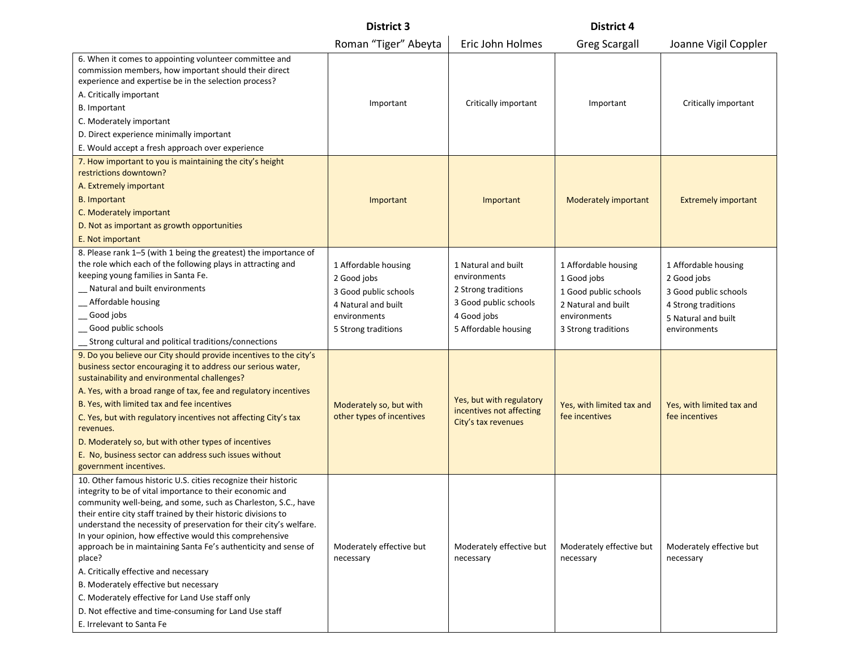|                                                                                                                                                                                                                                                                                                                                                                                                                                                                                                                                                                                                                                                                                                           | <b>District 3</b>                                                                                                          |                                                                                                                            | <b>District 4</b>                                                                                                          |                                                                                                                            |
|-----------------------------------------------------------------------------------------------------------------------------------------------------------------------------------------------------------------------------------------------------------------------------------------------------------------------------------------------------------------------------------------------------------------------------------------------------------------------------------------------------------------------------------------------------------------------------------------------------------------------------------------------------------------------------------------------------------|----------------------------------------------------------------------------------------------------------------------------|----------------------------------------------------------------------------------------------------------------------------|----------------------------------------------------------------------------------------------------------------------------|----------------------------------------------------------------------------------------------------------------------------|
|                                                                                                                                                                                                                                                                                                                                                                                                                                                                                                                                                                                                                                                                                                           | Roman "Tiger" Abeyta                                                                                                       | Eric John Holmes                                                                                                           | <b>Greg Scargall</b>                                                                                                       | Joanne Vigil Coppler                                                                                                       |
| 6. When it comes to appointing volunteer committee and<br>commission members, how important should their direct<br>experience and expertise be in the selection process?<br>A. Critically important<br>B. Important<br>C. Moderately important<br>D. Direct experience minimally important<br>E. Would accept a fresh approach over experience                                                                                                                                                                                                                                                                                                                                                            | Important                                                                                                                  | Critically important                                                                                                       | Important                                                                                                                  | Critically important                                                                                                       |
| 7. How important to you is maintaining the city's height<br>restrictions downtown?<br>A. Extremely important<br><b>B.</b> Important<br>C. Moderately important<br>D. Not as important as growth opportunities<br>E. Not important                                                                                                                                                                                                                                                                                                                                                                                                                                                                         | Important                                                                                                                  | Important                                                                                                                  | Moderately important                                                                                                       | <b>Extremely important</b>                                                                                                 |
| 8. Please rank 1-5 (with 1 being the greatest) the importance of<br>the role which each of the following plays in attracting and<br>keeping young families in Santa Fe.<br>Natural and built environments<br>_Affordable housing<br>_Good jobs<br>Good public schools<br>Strong cultural and political traditions/connections                                                                                                                                                                                                                                                                                                                                                                             | 1 Affordable housing<br>2 Good jobs<br>3 Good public schools<br>4 Natural and built<br>environments<br>5 Strong traditions | 1 Natural and built<br>environments<br>2 Strong traditions<br>3 Good public schools<br>4 Good jobs<br>5 Affordable housing | 1 Affordable housing<br>1 Good jobs<br>1 Good public schools<br>2 Natural and built<br>environments<br>3 Strong traditions | 1 Affordable housing<br>2 Good jobs<br>3 Good public schools<br>4 Strong traditions<br>5 Natural and built<br>environments |
| 9. Do you believe our City should provide incentives to the city's<br>business sector encouraging it to address our serious water,<br>sustainability and environmental challenges?<br>A. Yes, with a broad range of tax, fee and regulatory incentives<br>B. Yes, with limited tax and fee incentives<br>C. Yes, but with regulatory incentives not affecting City's tax<br>revenues.<br>D. Moderately so, but with other types of incentives<br>E. No, business sector can address such issues without<br>government incentives.                                                                                                                                                                         | Moderately so, but with<br>other types of incentives                                                                       | Yes, but with regulatory<br>incentives not affecting<br>City's tax revenues                                                | Yes, with limited tax and<br>fee incentives                                                                                | Yes, with limited tax and<br>fee incentives                                                                                |
| 10. Other famous historic U.S. cities recognize their historic<br>integrity to be of vital importance to their economic and<br>community well-being, and some, such as Charleston, S.C., have<br>their entire city staff trained by their historic divisions to<br>understand the necessity of preservation for their city's welfare.<br>In your opinion, how effective would this comprehensive<br>approach be in maintaining Santa Fe's authenticity and sense of<br>place?<br>A. Critically effective and necessary<br>B. Moderately effective but necessary<br>C. Moderately effective for Land Use staff only<br>D. Not effective and time-consuming for Land Use staff<br>E. Irrelevant to Santa Fe | Moderately effective but<br>necessary                                                                                      | Moderately effective but<br>necessary                                                                                      | Moderately effective but<br>necessary                                                                                      | Moderately effective but<br>necessary                                                                                      |